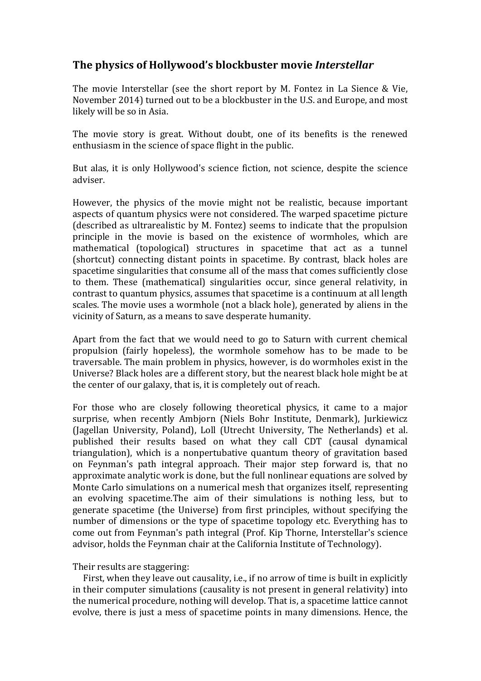## **The\$physics\$of\$Hollywood's\$blockbuster\$movie\$***Interstellar*

The movie Interstellar (see the short report by M. Fontez in La Sience & Vie, November 2014) turned out to be a blockbuster in the U.S. and Europe, and most likely will be so in Asia.

The movie story is great. Without doubt, one of its benefits is the renewed enthusiasm in the science of space flight in the public.

But alas, it is only Hollywood's science fiction, not science, despite the science adviser.

However, the physics of the movie might not be realistic, because important aspects of quantum physics were not considered. The warped spacetime picture (described as ultrarealistic by M. Fontez) seems to indicate that the propulsion principle in the movie is based on the existence of wormholes, which are mathematical (topological) structures in spacetime that act as a tunnel (shortcut) connecting distant points in spacetime. By contrast, black holes are spacetime singularities that consume all of the mass that comes sufficiently close to them. These (mathematical) singularities occur, since general relativity, in contrast to quantum physics, assumes that spacetime is a continuum at all length scales. The movie uses a wormhole (not a black hole), generated by aliens in the vicinity of Saturn, as a means to save desperate humanity.

Apart from the fact that we would need to go to Saturn with current chemical propulsion (fairly hopeless), the wormhole somehow has to be made to be traversable. The main problem in physics, however, is do wormholes exist in the Universe? Black holes are a different story, but the nearest black hole might be at the center of our galaxy, that is, it is completely out of reach.

For those who are closely following theoretical physics, it came to a major surprise, when recently Ambjorn (Niels Bohr Institute, Denmark), Jurkiewicz (Jagellan University, Poland), Loll (Utrecht University, The Netherlands) et al. published their results based on what they call CDT (causal dynamical triangulation), which is a nonpertubative quantum theory of gravitation based on Feynman's path integral approach. Their major step forward is, that no approximate analytic work is done, but the full nonlinear equations are solved by Monte Carlo simulations on a numerical mesh that organizes itself, representing an evolving spacetime.The aim of their simulations is nothing less, but to generate spacetime (the Universe) from first principles, without specifying the number of dimensions or the type of spacetime topology etc. Everything has to come out from Feynman's path integral (Prof. Kip Thorne, Interstellar's science advisor, holds the Feynman chair at the California Institute of Technology).

Their results are staggering:

First, when they leave out causality, i.e., if no arrow of time is built in explicitly in their computer simulations (causality is not present in general relativity) into the numerical procedure, nothing will develop. That is, a spacetime lattice cannot evolve, there is just a mess of spacetime points in many dimensions. Hence, the